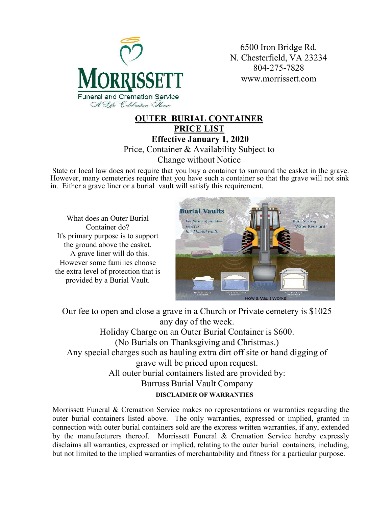

6500 Iron Bridge Rd. N. Chesterfield, VA 23234 804-275-7828 www.morrissett.com

#### **OUTER BURIAL CONTAINER PRICE LIST Effective January 1, 2020** Price, Container & Availability Subject to Change without Notice

State or local law does not require that you buy a container to surround the casket in the grave. However, many cemeteries require that you have such a container so that the grave will not sink in. Either a grave liner or a burial vault will satisfy this requirement.

What does an Outer Burial Container do? It's primary purpose is to support the ground above the casket. A grave liner will do this. However some families choose the extra level of protection that is provided by a Burial Vault.



**DISCLAIMER OF WARRANTIES** Our fee to open and close a grave in a Church or Private cemetery is \$1025 any day of the week. Holiday Charge on an Outer Burial Container is \$600. (No Burials on Thanksgiving and Christmas.) Any special charges such as hauling extra dirt off site or hand digging of grave will be priced upon request. All outer burial containers listed are provided by: Burruss Burial Vault Company

Morrissett Funeral & Cremation Service makes no representations or warranties regarding the outer burial containers listed above. The only warranties, expressed or implied, granted in connection with outer burial containers sold are the express written warranties, if any, extended by the manufacturers thereof. Morrissett Funeral & Cremation Service hereby expressly disclaims all warranties, expressed or implied, relating to the outer burial containers, including, but not limited to the implied warranties of merchantability and fitness for a particular purpose.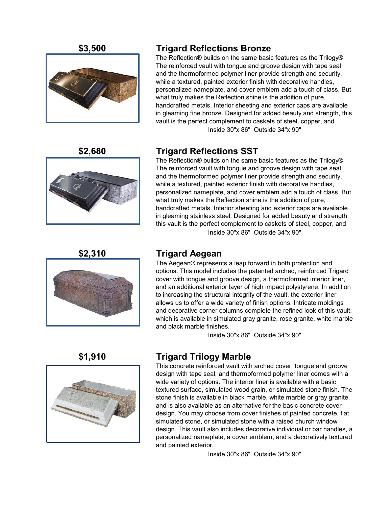

### **\$3,500 Trigard Reflections Bronze**

The Reflection® builds on the same basic features as the Trilogy®. The reinforced vault with tongue and groove design with tape seal and the thermoformed polymer liner provide strength and security, while a textured, painted exterior finish with decorative handles, personalized nameplate, and cover emblem add a touch of class. But what truly makes the Reflection shine is the addition of pure, handcrafted metals. Interior sheeting and exterior caps are available in gleaming fine bronze. Designed for added beauty and strength, this vault is the perfect complement to caskets of steel, copper, and Inside 30"x 86" Outside 34"x 90"



### **\$2,680 Trigard Reflections SST**

The Reflection® builds on the same basic features as the Trilogy®. The reinforced vault with tongue and groove design with tape seal and the thermoformed polymer liner provide strength and security, while a textured, painted exterior finish with decorative handles, personalized nameplate, and cover emblem add a touch of class. But what truly makes the Reflection shine is the addition of pure, handcrafted metals. Interior sheeting and exterior caps are available in gleaming stainless steel. Designed for added beauty and strength, this vault is the perfect complement to caskets of steel, copper, and Inside 30"x 86" Outside 34"x 90"



### **\$2,310 Trigard Aegean**

The Aegean® represents a leap forward in both protection and options. This model includes the patented arched, reinforced Trigard cover with tongue and groove design, a thermoformed interior liner, and an additional exterior layer of high impact polystyrene. In addition to increasing the structural integrity of the vault, the exterior liner allows us to offer a wide variety of finish options. Intricate moldings and decorative corner columns complete the refined look of this vault, which is available in simulated gray granite, rose granite, white marble and black marble finishes.

Inside 30"x 86" Outside 34"x 90"



### **\$1,910 Trigard Trilogy Marble**

This concrete reinforced vault with arched cover, tongue and groove design with tape seal, and thermoformed polymer liner comes with a wide variety of options. The interior liner is available with a basic textured surface, simulated wood grain, or simulated stone finish. The stone finish is available in black marble, white marble or gray granite, and is also available as an alternative for the basic concrete cover design. You may choose from cover finishes of painted concrete, flat simulated stone, or simulated stone with a raised church window design. This vault also includes decorative individual or bar handles, a personalized nameplate, a cover emblem, and a decoratively textured and painted exterior.

Inside 30"x 86" Outside 34"x 90"